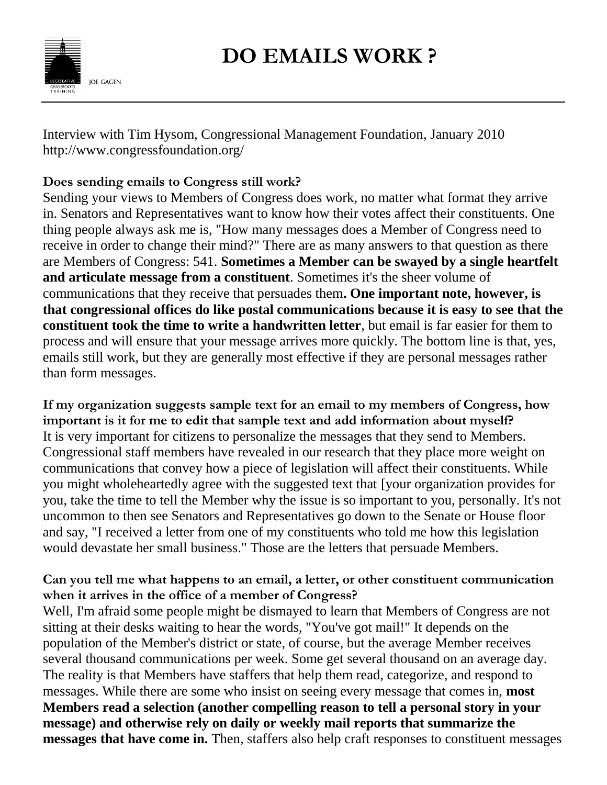

Interview with Tim Hysom, Congressional Management Foundation, January 2010 http://www.congressfoundation.org/

## **Does sending emails to Congress still work?**

Sending your views to Members of Congress does work, no matter what format they arrive in. Senators and Representatives want to know how their votes affect their constituents. One thing people always ask me is, "How many messages does a Member of Congress need to receive in order to change their mind?" There are as many answers to that question as there are Members of Congress: 541. **Sometimes a Member can be swayed by a single heartfelt and articulate message from a constituent**. Sometimes it's the sheer volume of communications that they receive that persuades them**. One important note, however, is that congressional offices do like postal communications because it is easy to see that the constituent took the time to write a handwritten letter**, but email is far easier for them to process and will ensure that your message arrives more quickly. The bottom line is that, yes, emails still work, but they are generally most effective if they are personal messages rather than form messages.

**If my organization suggests sample text for an email to my members of Congress, how important is it for me to edit that sample text and add information about myself?** It is very important for citizens to personalize the messages that they send to Members. Congressional staff members have revealed in our research that they place more weight on communications that convey how a piece of legislation will affect their constituents. While you might wholeheartedly agree with the suggested text that [your organization provides for you, take the time to tell the Member why the issue is so important to you, personally. It's not uncommon to then see Senators and Representatives go down to the Senate or House floor and say, "I received a letter from one of my constituents who told me how this legislation would devastate her small business." Those are the letters that persuade Members.

## **Can you tell me what happens to an email, a letter, or other constituent communication when it arrives in the office of a member of Congress?**

Well, I'm afraid some people might be dismayed to learn that Members of Congress are not sitting at their desks waiting to hear the words, "You've got mail!" It depends on the population of the Member's district or state, of course, but the average Member receives several thousand communications per week. Some get several thousand on an average day. The reality is that Members have staffers that help them read, categorize, and respond to messages. While there are some who insist on seeing every message that comes in, **most Members read a selection (another compelling reason to tell a personal story in your message) and otherwise rely on daily or weekly mail reports that summarize the messages that have come in.** Then, staffers also help craft responses to constituent messages